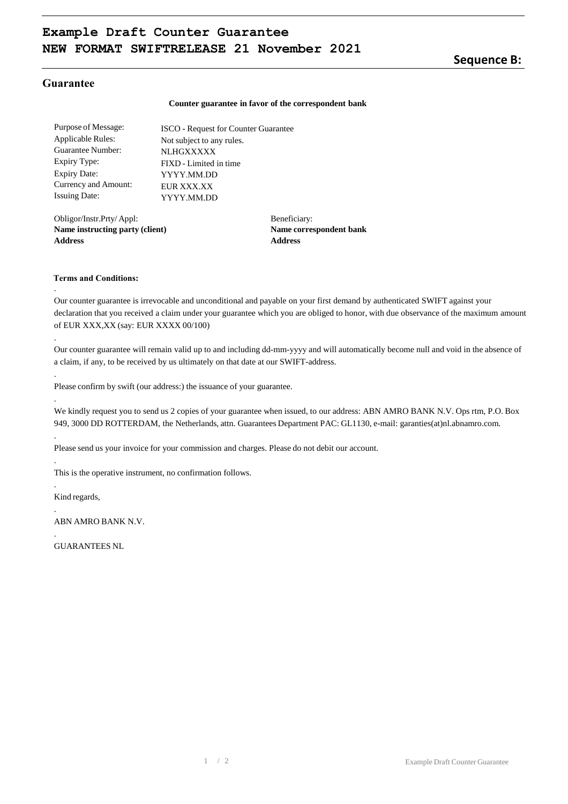## **Sequence B:**

## **Guarantee**

#### **Counter guarantee in favor of the correspondent bank**

Purpose of Message: Applicable Rules: Guarantee Number: Expiry Type: Expiry Date: Currency and Amount: Issuing Date: ISCO - Request for Counter Guarantee Not subject to any rules. **NLHGXXXXX** FIXD - Limited in time YYYY.MM.DD EUR XXX XX YYYY.MM.DD

Obligor/Instr.Prty/ Appl: **Name instructing party (client) Address**

Beneficiary: **Name correspondent bank Address**

### **Terms and Conditions:**

.

.

.

.

.

.

.

.

.

Our counter guarantee is irrevocable and unconditional and payable on your first demand by authenticated SWIFT against your declaration that you received a claim under your guarantee which you are obliged to honor, with due observance of the maximum amount of EUR XXX,XX (say: EUR XXXX 00/100)

Our counter guarantee will remain valid up to and including dd-mm-yyyy and will automatically become null and void in the absence of a claim, if any, to be received by us ultimately on that date at our SWIFT-address.

Please confirm by swift (our address:) the issuance of your guarantee.

We kindly request you to send us 2 copies of your guarantee when issued, to our address: ABN AMRO BANK N.V. Ops rtm, P.O. Box 949, 3000 DD ROTTERDAM, the Netherlands, attn. Guarantees Department PAC: GL1130, e-mail: garanties(at)nl.abnamro.com.

Please send us your invoice for your commission and charges. Please do not debit our account.

This is the operative instrument, no confirmation follows.

Kind regards,

ABN AMRO BANK N.V.

GUARANTEES NL